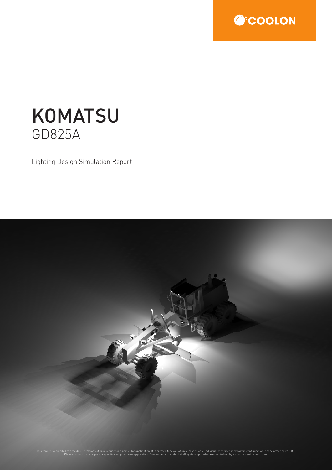

## **KOMATSU** GD825A

Lighting Design Simulation Report

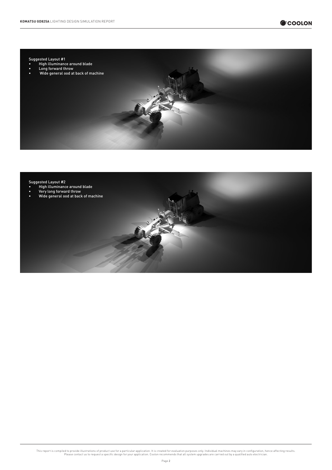



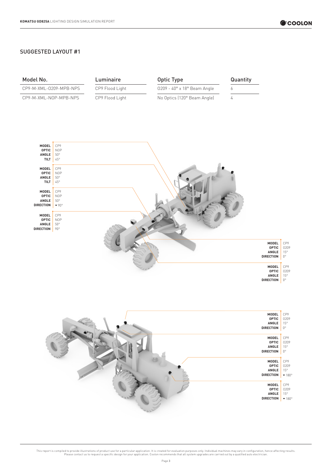## SUGGESTED LAYOUT #1

| Model No.                                                 |                                                   | Luminaire       | <b>Optic Type</b>           | Quantity |                                                           |                                            |
|-----------------------------------------------------------|---------------------------------------------------|-----------------|-----------------------------|----------|-----------------------------------------------------------|--------------------------------------------|
| CP9-M-XML-0209-MPB-NPS                                    |                                                   | CP9 Flood Light | 0209 - 40° x 18° Beam Angle | 6        |                                                           |                                            |
| CP9-M-XML-NOP-MPB-NPS                                     |                                                   | CP9 Flood Light | No Optics (120° Beam Angle) | 4        |                                                           |                                            |
|                                                           |                                                   |                 |                             |          |                                                           |                                            |
| MODEL<br><b>OPTIC</b><br>ANGLE<br><b>TILT</b>             | CP9<br><b>NOP</b><br>$50^{\circ}$<br>45°          |                 |                             |          |                                                           |                                            |
| MODEL<br><b>OPTIC</b><br>ANGLE<br><b>TILT</b>             | CP9<br><b>NOP</b><br>$50^{\circ}$<br>$45^{\circ}$ |                 |                             |          |                                                           |                                            |
| MODEL<br><b>OPTIC</b><br>ANGLE<br><b>DIRECTION</b>        | CP9<br><b>NOP</b><br>$50^{\circ}$<br>$-90^\circ$  |                 |                             |          |                                                           |                                            |
| <b>MODEL</b><br><b>OPTIC</b><br>ANGLE<br><b>DIRECTION</b> | CP9<br><b>NOP</b><br>$50^{\circ}$<br>$90^{\circ}$ |                 |                             |          |                                                           |                                            |
|                                                           |                                                   |                 |                             |          | <b>MODEL</b><br><b>OPTIC</b><br>ANGLE<br><b>DIRECTION</b> | CP9<br>0209<br>$15^{\circ}$<br>$0^{\circ}$ |
|                                                           |                                                   |                 |                             |          | MODEL<br><b>OPTIC</b><br>ANGLE<br><b>DIRECTION</b>        | CP9<br>0209<br>$15^{\circ}$<br>$0^{\circ}$ |

| <b>MODEL</b><br><b>OPTIC</b><br>ANGLE<br><b>DIRECTION</b> | CP9<br>0209<br>$15^{\circ}$<br>$0^{\circ}$  |
|-----------------------------------------------------------|---------------------------------------------|
| <b>MODEL</b><br><b>OPTIC</b><br>ANGLE<br><b>DIRECTION</b> | CP9<br>0209<br>$15^{\circ}$<br>$0^{\circ}$  |
| <b>MODEL</b><br><b>OPTIC</b><br>ANGLE<br><b>DIRECTION</b> | CP9<br>0209<br>$15^{\circ}$<br>$-180^\circ$ |
| MODEL<br><b>OPTIC</b><br>ANGLE<br><b>DIRECTION</b>        | CP9<br>0209<br>$15^{\circ}$<br>$-180^\circ$ |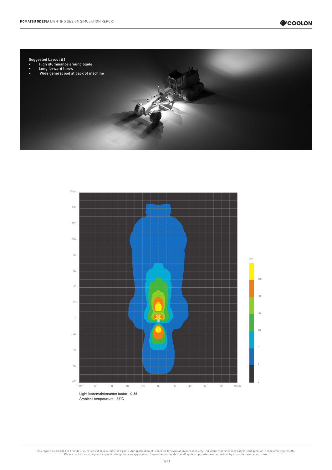



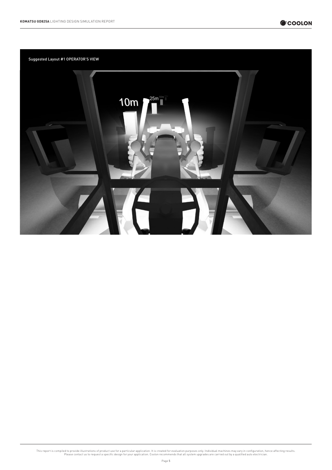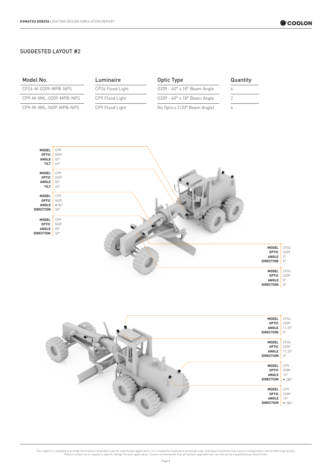## SUGGESTED LAYOUT #2

| Model No.              | Luminaire        | Optic Type                                   | Quantity |
|------------------------|------------------|----------------------------------------------|----------|
| CP24-M-0209-MPB-NPS    | CP24 Flood Light | $0209 - 40^\circ \times 18^\circ$ Beam Angle |          |
| CP9-M-XML-0209-MPB-NPS | CP9 Flood Light  | $0209 - 40^\circ \times 18^\circ$ Beam Angle |          |
| CP9-M-XML-NOP-MPB-NPS  | CP9 Flood Light  | No Optics (120° Beam Angle)                  |          |



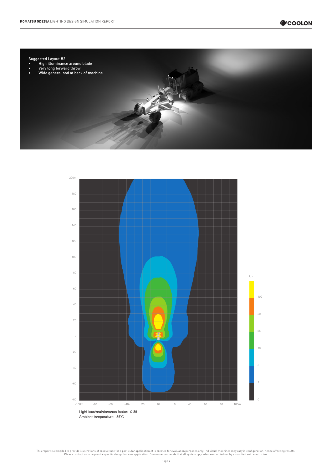